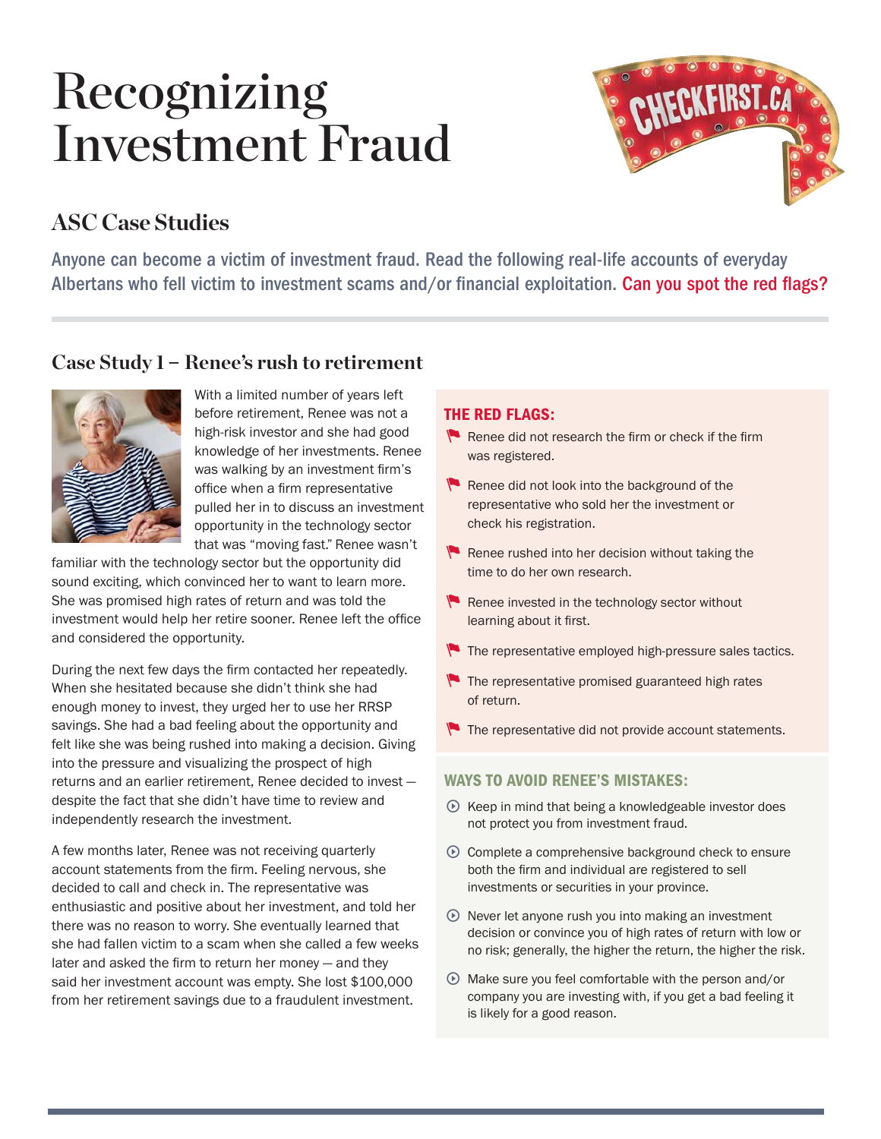# Recognizing Investment Fraud



## **ASC Case Studies**

Anyone can become a victim of investment fraud. Read the following real-life accounts of everyday Albertans who fell victim to investment scams and/or financial exploitation. Can you spot the red flags?

### **Case Study 1** – **Renee's rush to retirement**



With a limited number of years left before retirement, Renee was not a high-risk investor and she had good knowledge of her investments. Renee was walking by an investment firm's office when a firm representative pulled her in to discuss an investment opportunity in the technology sector that was "moving fast." Renee wasn't

familiar with the technology sector but the opportunity did sound exciting, which convinced her to want to learn more. She was promised high rates of return and was told the investment would help her retire sooner. Renee left the office and considered the opportunity.

During the next few days the firm contacted her repeatedly. When she hesitated because she didn't think she had enough money to invest, they urged her to use her RRSP savings. She had a bad feeling about the opportunity and felt like she was being rushed into making a decision. Giving into the pressure and visualizing the prospect of high returns and an earlier retirement, Renee decided to invest despite the fact that she didn't have time to review and independently research the investment.

A few months later, Renee was not receiving quarterly account statements from the firm. Feeling nervous, she decided to call and check in. The representative was enthusiastic and positive about her investment, and told her there was no reason to worry. She eventually learned that she had fallen victim to a scam when she called a few weeks later and asked the firm to return her money — and they said her investment account was empty. She lost \$100,000 from her retirement savings due to a fraudulent investment.

#### THE RED FLAGS:

- $\blacksquare$  Renee did not research the firm or check if the firm was registered.
- $\blacksquare$  Renee did not look into the background of the representative who sold her the investment or check his registration.
- $\blacktriangleright$  Renee rushed into her decision without taking the time to do her own research.
- $\blacktriangleright$  Renee invested in the technology sector without learning about it first.
- The representative employed high-pressure sales tactics.
- $\blacktriangleright$  The representative promised guaranteed high rates of return.
- The representative did not provide account statements.

#### WAYS TO AVOID RENEE'S MISTAKES:

- $\odot$  Keep in mind that being a knowledgeable investor does not protect you from investment fraud.
- $\odot$  Complete a comprehensive background check to ensure both the firm and individual are registered to sell investments or securities in your province.
- $\odot$  Never let anyone rush you into making an investment decision or convince you of high rates of return with low or no risk; generally, the higher the return, the higher the risk.
- $\odot$  Make sure you feel comfortable with the person and/or company you are investing with, if you get a bad feeling it is likely for a good reason.